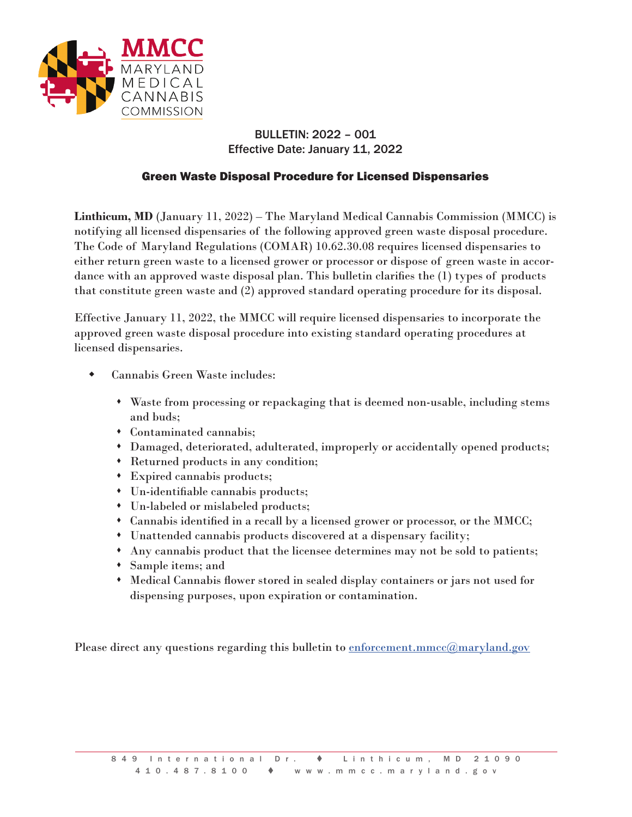

## BULLETIN: 2022 – 001 Effective Date: January 11, 2022

## Green Waste Disposal Procedure for Licensed Dispensaries

**Linthicum, MD** (January 11, 2022) – The Maryland Medical Cannabis Commission (MMCC) is notifying all licensed dispensaries of the following approved green waste disposal procedure. The Code of Maryland Regulations (COMAR) 10.62.30.08 requires licensed dispensaries to either return green waste to a licensed grower or processor or dispose of green waste in accordance with an approved waste disposal plan. This bulletin clarifies the (1) types of products that constitute green waste and (2) approved standard operating procedure for its disposal.

Effective January 11, 2022, the MMCC will require licensed dispensaries to incorporate the approved green waste disposal procedure into existing standard operating procedures at licensed dispensaries.

- Cannabis Green Waste includes:
	- Waste from processing or repackaging that is deemed non-usable, including stems and buds;
	- Contaminated cannabis;
	- Damaged, deteriorated, adulterated, improperly or accidentally opened products;
	- Returned products in any condition;
	- Expired cannabis products;
	- Un-identifiable cannabis products;
	- Un-labeled or mislabeled products;
	- Cannabis identified in a recall by a licensed grower or processor, or the MMCC;
	- Unattended cannabis products discovered at a dispensary facility;
	- Any cannabis product that the licensee determines may not be sold to patients;
	- Sample items; and
	- Medical Cannabis flower stored in sealed display containers or jars not used for dispensing purposes, upon expiration or contamination.

Please direct any questions regarding this bulletin to [enforcement.mmcc@maryland.gov](mailto:enforcement.mmcc@maryland.gov)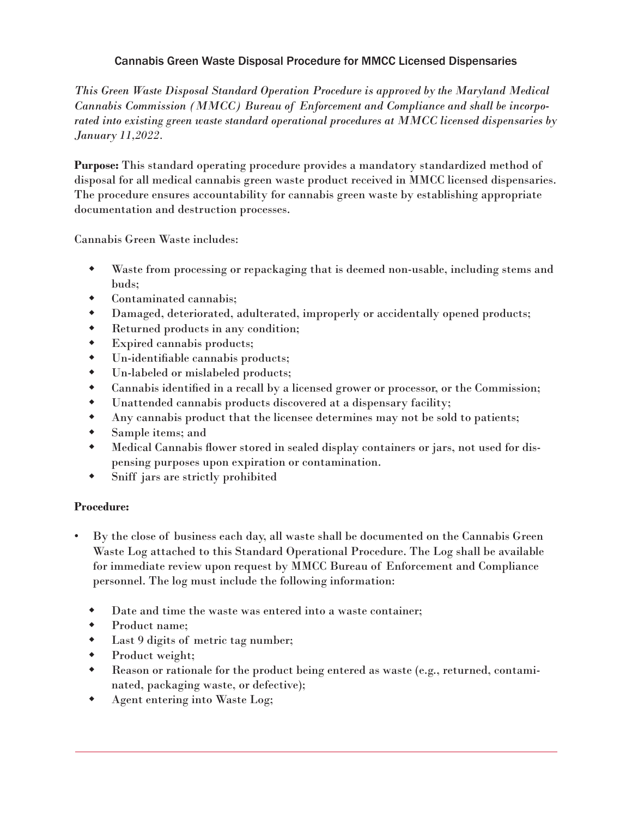## Cannabis Green Waste Disposal Procedure for MMCC Licensed Dispensaries

*This Green Waste Disposal Standard Operation Procedure is approved by the Maryland Medical Cannabis Commission (MMCC) Bureau of Enforcement and Compliance and shall be incorporated into existing green waste standard operational procedures at MMCC licensed dispensaries by January 11,2022.*

**Purpose:** This standard operating procedure provides a mandatory standardized method of disposal for all medical cannabis green waste product received in MMCC licensed dispensaries. The procedure ensures accountability for cannabis green waste by establishing appropriate documentation and destruction processes.

Cannabis Green Waste includes:

- Waste from processing or repackaging that is deemed non-usable, including stems and buds;
- Contaminated cannabis;
- Damaged, deteriorated, adulterated, improperly or accidentally opened products;
- Returned products in any condition;
- Expired cannabis products;
- Un-identifiable cannabis products;
- Un-labeled or mislabeled products;
- Cannabis identified in a recall by a licensed grower or processor, or the Commission;
- Unattended cannabis products discovered at a dispensary facility;
- Any cannabis product that the licensee determines may not be sold to patients;
- Sample items; and
- Medical Cannabis flower stored in sealed display containers or jars, not used for dispensing purposes upon expiration or contamination.
- Sniff jars are strictly prohibited

## **Procedure:**

- By the close of business each day, all waste shall be documented on the Cannabis Green Waste Log attached to this Standard Operational Procedure. The Log shall be available for immediate review upon request by MMCC Bureau of Enforcement and Compliance personnel. The log must include the following information:
	- Date and time the waste was entered into a waste container;
	- Product name;
	- Last 9 digits of metric tag number;
	- Product weight;
	- Reason or rationale for the product being entered as waste (e.g., returned, contaminated, packaging waste, or defective);
	- Agent entering into Waste Log;